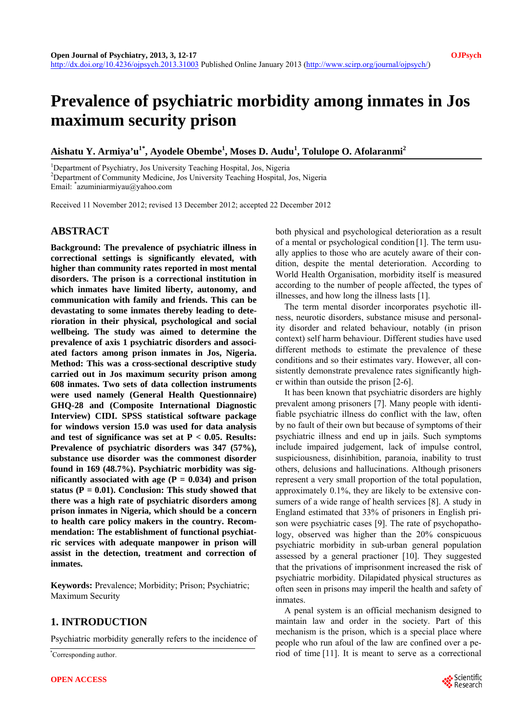# **Prevalence of psychiatric morbidity among inmates in Jos maximum security prison**

# **Aishatu Y. Armiya'u1\*, Ayodele Obembe1 , Moses D. Audu<sup>1</sup> , Tolulope O. Afolaranmi2**

<sup>1</sup>Department of Psychiatry, Jos University Teaching Hospital, Jos, Nigeria <sup>2</sup>Department of Community Medicine, Jos University Teaching Hospital, J

Department of Community Medicine, Jos University Teaching Hospital, Jos, Nigeria

Email: \* azuminiarmiyau@yahoo.com

Received 11 November 2012; revised 13 December 2012; accepted 22 December 2012

## **ABSTRACT**

**Background: The prevalence of psychiatric illness in correctional settings is significantly elevated, with higher than community rates reported in most mental disorders. The prison is a correctional institution in which inmates have limited liberty, autonomy, and communication with family and friends. This can be devastating to some inmates thereby leading to deterioration in their physical, psychological and social wellbeing. The study was aimed to determine the prevalence of axis 1 psychiatric disorders and associated factors among prison inmates in Jos, Nigeria. Method: This was a cross-sectional descriptive study carried out in Jos maximum security prison among 608 inmates. Two sets of data collection instruments were used namely (General Health Questionnaire) GHQ-28 and (Composite International Diagnostic Interview) CIDI. SPSS statistical software package for windows version 15.0 was used for data analysis and test of significance was set at P < 0.05. Results: Prevalence of psychiatric disorders was 347 (57%), substance use disorder was the commonest disorder found in 169 (48.7%). Psychiatric morbidity was significantly associated with age (** $P = 0.034$ **) and prison status (P = 0.01). Conclusion: This study showed that there was a high rate of psychiatric disorders among prison inmates in Nigeria, which should be a concern to health care policy makers in the country. Recommendation: The establishment of functional psychiatric services with adequate manpower in prison will assist in the detection, treatment and correction of inmates.** 

**Keywords:** Prevalence; Morbidity; Prison; Psychiatric; Maximum Security

# **1. INTRODUCTION**

Psychiatric morbidity generally refers to the incidence of

Corresponding author.

both physical and psychological deterioration as a result of a mental or psychological condition [1]. The term usually applies to those who are acutely aware of their condition, despite the mental deterioration. According to World Health Organisation, morbidity itself is measured according to the number of people affected, the types of illnesses, and how long the illness lasts [1].

The term mental disorder incorporates psychotic illness, neurotic disorders, substance misuse and personality disorder and related behaviour, notably (in prison context) self harm behaviour. Different studies have used different methods to estimate the prevalence of these conditions and so their estimates vary. However, all consistently demonstrate prevalence rates significantly higher within than outside the prison [2-6].

It has been known that psychiatric disorders are highly prevalent among prisoners [7]. Many people with identifiable psychiatric illness do conflict with the law, often by no fault of their own but because of symptoms of their psychiatric illness and end up in jails. Such symptoms include impaired judgement, lack of impulse control, suspiciousness, disinhibition, paranoia, inability to trust others, delusions and hallucinations. Although prisoners represent a very small proportion of the total population, approximately 0.1%, they are likely to be extensive consumers of a wide range of health services [8]. A study in England estimated that 33% of prisoners in English prison were psychiatric cases [9]. The rate of psychopathology, observed was higher than the 20% conspicuous psychiatric morbidity in sub-urban general population assessed by a general practioner [10]. They suggested that the privations of imprisonment increased the risk of psychiatric morbidity. Dilapidated physical structures as often seen in prisons may imperil the health and safety of inmates.

A penal system is an official mechanism designed to maintain law and order in the society. Part of this mechanism is the prison, which is a special place where people who run afoul of the law are confined over a period of time [11]. It is meant to serve as a correctional \*

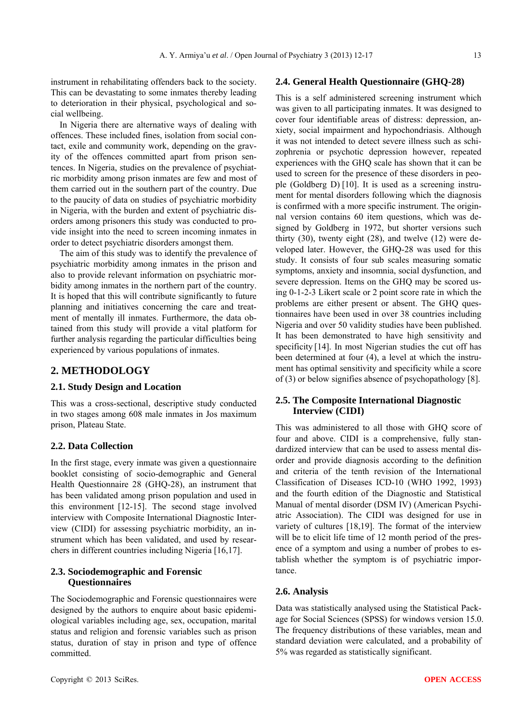instrument in rehabilitating offenders back to the society. This can be devastating to some inmates thereby leading to deterioration in their physical, psychological and social wellbeing.

In Nigeria there are alternative ways of dealing with offences. These included fines, isolation from social contact, exile and community work, depending on the gravity of the offences committed apart from prison sentences. In Nigeria, studies on the prevalence of psychiatric morbidity among prison inmates are few and most of them carried out in the southern part of the country. Due to the paucity of data on studies of psychiatric morbidity in Nigeria, with the burden and extent of psychiatric disorders among prisoners this study was conducted to provide insight into the need to screen incoming inmates in order to detect psychiatric disorders amongst them.

The aim of this study was to identify the prevalence of psychiatric morbidity among inmates in the prison and also to provide relevant information on psychiatric morbidity among inmates in the northern part of the country. It is hoped that this will contribute significantly to future planning and initiatives concerning the care and treatment of mentally ill inmates. Furthermore, the data obtained from this study will provide a vital platform for further analysis regarding the particular difficulties being experienced by various populations of inmates.

## **2. METHODOLOGY**

#### **2.1. Study Design and Location**

This was a cross-sectional, descriptive study conducted in two stages among 608 male inmates in Jos maximum prison, Plateau State.

#### **2.2. Data Collection**

In the first stage, every inmate was given a questionnaire booklet consisting of socio-demographic and General Health Questionnaire 28 (GHQ-28), an instrument that has been validated among prison population and used in this environment [12-15]. The second stage involved interview with Composite International Diagnostic Interview (CIDI) for assessing psychiatric morbidity, an instrument which has been validated, and used by researchers in different countries including Nigeria [16,17].

## **2.3. Sociodemographic and Forensic Questionnaires**

The Sociodemographic and Forensic questionnaires were designed by the authors to enquire about basic epidemiological variables including age, sex, occupation, marital status and religion and forensic variables such as prison status, duration of stay in prison and type of offence committed.

This is a self administered screening instrument which was given to all participating inmates. It was designed to cover four identifiable areas of distress: depression, anxiety, social impairment and hypochondriasis. Although it was not intended to detect severe illness such as schizophrenia or psychotic depression however, repeated experiences with the GHQ scale has shown that it can be used to screen for the presence of these disorders in people (Goldberg D) [10]. It is used as a screening instrument for mental disorders following which the diagnosis is confirmed with a more specific instrument. The originnal version contains 60 item questions, which was designed by Goldberg in 1972, but shorter versions such thirty (30), twenty eight (28), and twelve (12) were developed later. However, the GHQ-28 was used for this study. It consists of four sub scales measuring somatic symptoms, anxiety and insomnia, social dysfunction, and severe depression. Items on the GHQ may be scored using 0-1-2-3 Likert scale or 2 point score rate in which the problems are either present or absent. The GHQ questionnaires have been used in over 38 countries including Nigeria and over 50 validity studies have been published. It has been demonstrated to have high sensitivity and specificity [14]. In most Nigerian studies the cut off has been determined at four (4), a level at which the instrument has optimal sensitivity and specificity while a score of (3) or below signifies absence of psychopathology [8].

#### **2.5. The Composite International Diagnostic Interview (CIDI)**

This was administered to all those with GHQ score of four and above. CIDI is a comprehensive, fully standardized interview that can be used to assess mental disorder and provide diagnosis according to the definition and criteria of the tenth revision of the International Classification of Diseases ICD-10 (WHO 1992, 1993) and the fourth edition of the Diagnostic and Statistical Manual of mental disorder (DSM IV) (American Psychiatric Association). The CIDI was designed for use in variety of cultures [18,19]. The format of the interview will be to elicit life time of 12 month period of the presence of a symptom and using a number of probes to establish whether the symptom is of psychiatric importance.

#### **2.6. Analysis**

Data was statistically analysed using the Statistical Package for Social Sciences (SPSS) for windows version 15.0. The frequency distributions of these variables, mean and standard deviation were calculated, and a probability of 5% was regarded as statistically significant.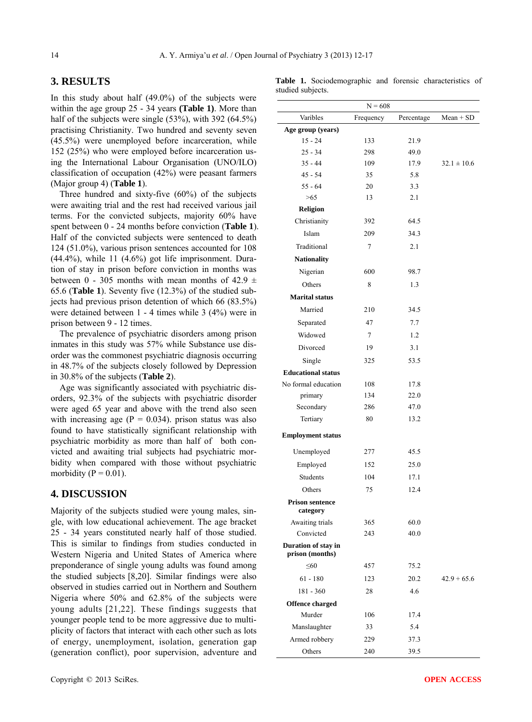# **3. RESULTS**

In this study about half (49.0%) of the subjects were within the age group 25 - 34 years **(Table 1)**. More than half of the subjects were single (53%), with 392 (64.5%) practising Christianity. Two hundred and seventy seven (45.5%) were unemployed before incarceration, while 152 (25%) who were employed before incarceration using the International Labour Organisation (UNO/ILO) classification of occupation (42%) were peasant farmers (Major group 4) (**Table 1**).

Three hundred and sixty-five (60%) of the subjects were awaiting trial and the rest had received various jail terms. For the convicted subjects, majority 60% have spent between 0 - 24 months before conviction (**Table 1**). Half of the convicted subjects were sentenced to death 124 (51.0%), various prison sentences accounted for 108  $(44.4\%)$ , while 11  $(4.6\%)$  got life imprisonment. Duration of stay in prison before conviction in months was between 0 - 305 months with mean months of  $42.9 \pm$ 65.6 (**Table 1**). Seventy five (12.3%) of the studied subjects had previous prison detention of which 66 (83.5%) were detained between 1 - 4 times while 3 (4%) were in prison between 9 - 12 times.

The prevalence of psychiatric disorders among prison inmates in this study was 57% while Substance use disorder was the commonest psychiatric diagnosis occurring in 48.7% of the subjects closely followed by Depression in 30.8% of the subjects (**Table 2**).

Age was significantly associated with psychiatric disorders, 92.3% of the subjects with psychiatric disorder were aged 65 year and above with the trend also seen with increasing age ( $P = 0.034$ ). prison status was also found to have statistically significant relationship with psychiatric morbidity as more than half of both convicted and awaiting trial subjects had psychiatric morbidity when compared with those without psychiatric morbidity ( $P = 0.01$ ).

## **4. DISCUSSION**

Majority of the subjects studied were young males, single, with low educational achievement. The age bracket 25 - 34 years constituted nearly half of those studied. This is similar to findings from studies conducted in Western Nigeria and United States of America where preponderance of single young adults was found among the studied subjects [8,20]. Similar findings were also observed in studies carried out in Northern and Southern Nigeria where 50% and 62.8% of the subjects were young adults [21,22]. These findings suggests that younger people tend to be more aggressive due to multiplicity of factors that interact with each other such as lots of energy, unemployment, isolation, generation gap (generation conflict), poor supervision, adventure and

|                   | Table 1. Sociodemographic and forensic characteristics of |  |  |
|-------------------|-----------------------------------------------------------|--|--|
| studied subjects. |                                                           |  |  |

|                                        | $N = 608$ |            |                 |
|----------------------------------------|-----------|------------|-----------------|
| Varibles                               | Frequency | Percentage | $Mean + SD$     |
| Age group (years)                      |           |            |                 |
| $15 - 24$                              | 133       | 21.9       |                 |
| $25 - 34$                              | 298       | 49.0       |                 |
| $35 - 44$                              | 109       | 17.9       | $32.1 \pm 10.6$ |
| $45 - 54$                              | 35        | 5.8        |                 |
| $55 - 64$                              | 20        | 3.3        |                 |
| >65                                    | 13        | 2.1        |                 |
| <b>Religion</b>                        |           |            |                 |
| Christianity                           | 392       | 64.5       |                 |
| Islam                                  | 209       | 34.3       |                 |
| Traditional                            | 7         | 2.1        |                 |
| <b>Nationality</b>                     |           |            |                 |
| Nigerian                               | 600       | 98.7       |                 |
| Others                                 | 8         | 1.3        |                 |
| <b>Marital status</b>                  |           |            |                 |
| Married                                | 210       | 34.5       |                 |
| Separated                              | 47        | 7.7        |                 |
| Widowed                                | $\tau$    | 1.2        |                 |
| Divorced                               | 19        | 3.1        |                 |
| Single                                 | 325       | 53.5       |                 |
| <b>Educational status</b>              |           |            |                 |
| No formal education                    | 108       | 17.8       |                 |
| primary                                | 134       | 22.0       |                 |
| Secondary                              | 286       | 47.0       |                 |
| Tertiary                               | 80        | 13.2       |                 |
| <b>Employment status</b>               |           |            |                 |
| Unemployed                             | 277       | 45.5       |                 |
| Employed                               | 152       | 25.0       |                 |
| Students                               | 104       | 17.1       |                 |
| Others                                 | 75        | 12.4       |                 |
| <b>Prison sentence</b><br>category     |           |            |                 |
| Awaiting trials                        | 365       | 60.0       |                 |
| Convicted                              | 243       | 40.0       |                 |
| Duration of stay in<br>prison (months) |           |            |                 |
| < 60                                   | 457       | 75.2       |                 |
| $61 - 180$                             | 123       | 20.2       | $42.9 + 65.6$   |
| $181 - 360$                            | 28        | 4.6        |                 |
| <b>Offence charged</b>                 |           |            |                 |
| Murder                                 | 106       | 17.4       |                 |
| Manslaughter                           | 33        | 5.4        |                 |
| Armed robbery                          | 229       | 37.3       |                 |
| Others                                 | 240       | 39.5       |                 |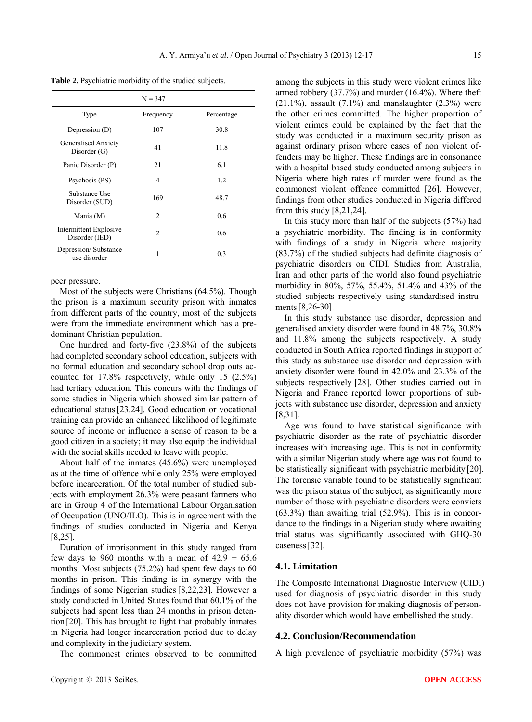**Table 2.** Psychiatric morbidity of the studied subjects.

|                                          | $N = 347$      |            |
|------------------------------------------|----------------|------------|
| Type                                     | Frequency      | Percentage |
| Depression (D)                           | 107            | 30.8       |
| Generalised Anxiety<br>Disorder $(G)$    | 41             | 11.8       |
| Panic Disorder (P)                       | 21             | 6.1        |
| Psychosis (PS)                           | 4              | 1.2        |
| Substance Use<br>Disorder (SUD)          | 169            | 48.7       |
| Mania (M)                                | $\mathfrak{D}$ | 0.6        |
| Intermittent Explosive<br>Disorder (IED) | 2              | 0.6        |
| Depression/Substance<br>use disorder     | 1              | 0.3        |

peer pressure.

Most of the subjects were Christians (64.5%). Though the prison is a maximum security prison with inmates from different parts of the country, most of the subjects were from the immediate environment which has a predominant Christian population.

One hundred and forty-five (23.8%) of the subjects had completed secondary school education, subjects with no formal education and secondary school drop outs accounted for 17.8% respectively, while only 15 (2.5%) had tertiary education. This concurs with the findings of some studies in Nigeria which showed similar pattern of educational status[23,24]. Good education or vocational training can provide an enhanced likelihood of legitimate source of income or influence a sense of reason to be a good citizen in a society; it may also equip the individual with the social skills needed to leave with people.

About half of the inmates (45.6%) were unemployed as at the time of offence while only 25% were employed before incarceration. Of the total number of studied subjects with employment 26.3% were peasant farmers who are in Group 4 of the International Labour Organisation of Occupation (UNO/ILO). This is in agreement with the findings of studies conducted in Nigeria and Kenya [8,25].

Duration of imprisonment in this study ranged from few days to 960 months with a mean of  $42.9 \pm 65.6$ months. Most subjects (75.2%) had spent few days to 60 months in prison. This finding is in synergy with the findings of some Nigerian studies [8,22,23]. However a study conducted in United States found that 60.1% of the subjects had spent less than 24 months in prison detention [20]. This has brought to light that probably inmates in Nigeria had longer incarceration period due to delay and complexity in the judiciary system.

The commonest crimes observed to be committed

among the subjects in this study were violent crimes like armed robbery (37.7%) and murder (16.4%). Where theft  $(21.1\%)$ , assault  $(7.1\%)$  and manslaughter  $(2.3\%)$  were the other crimes committed. The higher proportion of violent crimes could be explained by the fact that the study was conducted in a maximum security prison as against ordinary prison where cases of non violent offenders may be higher. These findings are in consonance with a hospital based study conducted among subjects in Nigeria where high rates of murder were found as the commonest violent offence committed [26]. However; findings from other studies conducted in Nigeria differed from this study [8,21,24].

In this study more than half of the subjects (57%) had a psychiatric morbidity. The finding is in conformity with findings of a study in Nigeria where majority (83.7%) of the studied subjects had definite diagnosis of psychiatric disorders on CIDI. Studies from Australia, Iran and other parts of the world also found psychiatric morbidity in 80%, 57%, 55.4%, 51.4% and 43% of the studied subjects respectively using standardised instruments[8,26-30].

In this study substance use disorder, depression and generalised anxiety disorder were found in 48.7%, 30.8% and 11.8% among the subjects respectively. A study conducted in South Africa reported findings in support of this study as substance use disorder and depression with anxiety disorder were found in 42.0% and 23.3% of the subjects respectively [28]. Other studies carried out in Nigeria and France reported lower proportions of subjects with substance use disorder, depression and anxiety [8,31].

Age was found to have statistical significance with psychiatric disorder as the rate of psychiatric disorder increases with increasing age. This is not in conformity with a similar Nigerian study where age was not found to be statistically significant with psychiatric morbidity [20]. The forensic variable found to be statistically significant was the prison status of the subject, as significantly more number of those with psychiatric disorders were convicts  $(63.3\%)$  than awaiting trial  $(52.9\%)$ . This is in concordance to the findings in a Nigerian study where awaiting trial status was significantly associated with GHQ-30 caseness[32].

#### **4.1. Limitation**

The Composite International Diagnostic Interview (CIDI) used for diagnosis of psychiatric disorder in this study does not have provision for making diagnosis of personality disorder which would have embellished the study.

#### **4.2. Conclusion/Recommendation**

A high prevalence of psychiatric morbidity (57%) was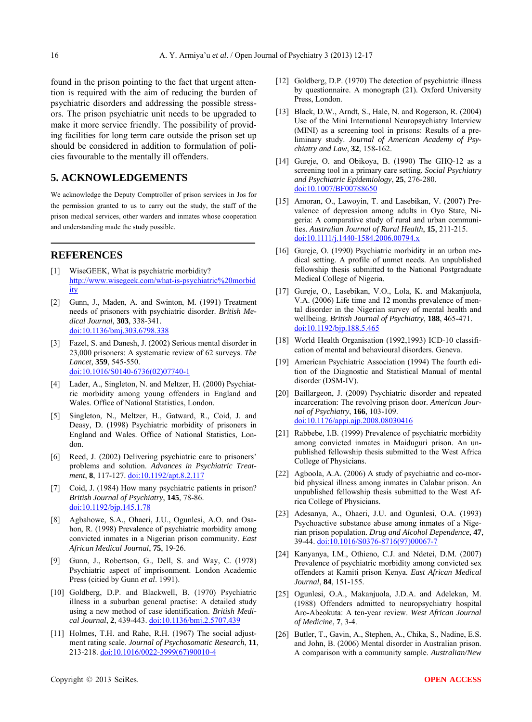found in the prison pointing to the fact that urgent attention is required with the aim of reducing the burden of psychiatric disorders and addressing the possible stressors. The prison psychiatric unit needs to be upgraded to make it more service friendly. The possibility of providing facilities for long term care outside the prison set up should be considered in addition to formulation of policies favourable to the mentally ill offenders.

# **5. ACKNOWLEDGEMENTS**

We acknowledge the Deputy Comptroller of prison services in Jos for the permission granted to us to carry out the study, the staff of the prison medical services, other warders and inmates whose cooperation and understanding made the study possible.

## **REFERENCES**

- [1] WiseGEEK, What is psychiatric morbidity? [http://www.wisegeek.com/what-is-psychiatric%20morbid](http://www.wisegeek.com/what-is-psychiatric%20morbidity) [ity](http://www.wisegeek.com/what-is-psychiatric%20morbidity)
- [2] Gunn, J., Maden, A. and Swinton, M. (1991) Treatment needs of prisoners with psychiatric disorder. *British Medical Journal*, **303**, 338-341. [doi:10.1136/bmj.303.6798.338](http://dx.doi.org/10.1136/bmj.303.6798.338)
- [3] Fazel, S. and Danesh, J. (2002) Serious mental disorder in 23,000 prisoners: A systematic review of 62 surveys. *The Lancet*, **359**, 545-550. [doi:10.1016/S0140-6736\(02\)07740-1](http://dx.doi.org/10.1016/S0140-6736(02)07740-1)
- [4] Lader, A., Singleton, N. and Meltzer, H. (2000) Psychiatric morbidity among young offenders in England and Wales. Office of National Statistics, London.
- Singleton, N., Meltzer, H., Gatward, R., Coid, J. and Deasy, D. (1998) Psychiatric morbidity of prisoners in England and Wales. Office of National Statistics, London.
- [6] Reed, J. (2002) Delivering psychiatric care to prisoners' problems and solution. *Advances in Psychiatric Treatment*, **8**, 117-127. [doi:10.1192/apt.8.2.117](http://dx.doi.org/10.1192/apt.8.2.117)
- [7] Coid, J. (1984) How many psychiatric patients in prison? *British Journal of Psychiatry*, **145**, 78-86. [doi:10.1192/bjp.145.1.78](http://dx.doi.org/10.1192/bjp.145.1.78)
- [8] Agbahowe, S.A., Ohaeri, J.U., Ogunlesi, A.O. and Osahon, R. (1998) Prevalence of psychiatric morbidity among convicted inmates in a Nigerian prison community. *East African Medical Journal*, **75**, 19-26.
- [9] Gunn, J., Robertson, G., Dell, S. and Way, C. (1978) Psychiatric aspect of imprisonment. London Academic Press (citied by Gunn *et al*. 1991).
- [10] Goldberg, D.P. and Blackwell, B. (1970) Psychiatric illness in a suburban general practise: A detailed study using a new method of case identification. *British Medical Journal*, **2**, 439-443. [doi:10.1136/bmj.2.5707.439](http://dx.doi.org/10.1136/bmj.2.5707.439)
- [11] Holmes, T.H. and Rahe, R.H. (1967) The social adjustment rating scale. *Journal of Psychosomatic Research*, **11**, 213-218. [doi:10.1016/0022-3999\(67\)90010-4](http://dx.doi.org/10.1016/0022-3999(67)90010-4)
- [12] Goldberg, D.P. (1970) The detection of psychiatric illness by questionnaire. A monograph (21). Oxford University Press, London.
- [13] Black, D.W., Arndt, S., Hale, N. and Rogerson, R. (2004) Use of the Mini International Neuropsychiatry Interview (MINI) as a screening tool in prisons: Results of a preliminary study. *Journal of American Academy of Psychiatry and Law*, **32**, 158-162.
- [14] Gureje, O. and Obikoya, B. (1990) The GHQ-12 as a screening tool in a primary care setting. *Social Psychiatry and Psychiatric Epidemiology*, **25**, 276-280. [doi:10.1007/BF00788650](http://dx.doi.org/10.1007/BF00788650)
- [15] Amoran, O., Lawoyin, T. and Lasebikan, V. (2007) Prevalence of depression among adults in Oyo State, Nigeria: A comparative study of rural and urban communities. *Australian Journal of Rural Health*, **15**, 211-215. [doi:10.1111/j.1440-1584.2006.00794.x](http://dx.doi.org/10.1111/j.1440-1584.2006.00794.x)
- [16] Gureje, O. (1990) Psychiatric morbidity in an urban medical setting. A profile of unmet needs. An unpublished fellowship thesis submitted to the National Postgraduate Medical College of Nigeria.
- [17] Gureje, O., Lasebikan, V.O., Lola, K. and Makanjuola, V.A. (2006) Life time and 12 months prevalence of mental disorder in the Nigerian survey of mental health and wellbeing. *British Journal of Psychiatry*, **188**, 465-471. [doi:10.1192/bjp.188.5.465](http://dx.doi.org/10.1192/bjp.188.5.465)
- [18] World Health Organisation (1992,1993) ICD-10 classification of mental and behavioural disorders. Geneva.
- [19] American Psychiatric Association (1994) The fourth edition of the Diagnostic and Statistical Manual of mental disorder (DSM-IV).
- [20] Baillargeon, J. (2009) Psychiatric disorder and repeated incarceration: The revolving prison door. *American Journal of Psychiatry*, **166**, 103-109. [doi:10.1176/appi.ajp.2008.08030416](http://dx.doi.org/10.1176/appi.ajp.2008.08030416)
- [21] Rabbebe, I.B. (1999) Prevalence of psychiatric morbidity among convicted inmates in Maiduguri prison. An unpublished fellowship thesis submitted to the West Africa College of Physicians.
- [22] Agboola, A.A. (2006) A study of psychiatric and co-morbid physical illness among inmates in Calabar prison. An unpublished fellowship thesis submitted to the West Africa College of Physicians.
- [23] Adesanya, A., Ohaeri, J.U. and Ogunlesi, O.A. (1993) Psychoactive substance abuse among inmates of a Nigerian prison population. *Drug and Alcohol Dependence*, **47**, 39-44. [doi:10.1016/S0376-8716\(97\)00067-7](http://dx.doi.org/10.1016/S0376-8716(97)00067-7)
- [24] Kanyanya, I.M., Othieno, C.J. and Ndetei, D.M. (2007) Prevalence of psychiatric morbidity among convicted sex offenders at Kamiti prison Kenya. *East African Medical Journal*, **84**, 151-155.
- [25] Ogunlesi, O.A., Makanjuola, J.D.A. and Adelekan, M. (1988) Offenders admitted to neuropsychiatry hospital Aro-Abeokuta: A ten-year review. *West African Journal of Medicine*, **7**, 3-4.
- [26] Butler, T., Gavin, A., Stephen, A., Chika, S., Nadine, E.S. and John, B. (2006) Mental disorder in Australian prison. A comparison with a community sample. *Australian/New*